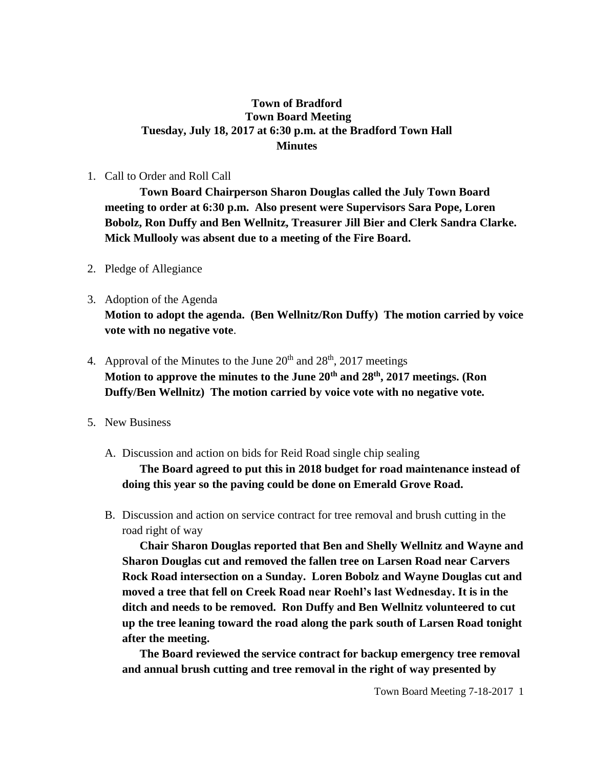#### **Town of Bradford Town Board Meeting Tuesday, July 18, 2017 at 6:30 p.m. at the Bradford Town Hall Minutes**

#### 1. Call to Order and Roll Call

**Town Board Chairperson Sharon Douglas called the July Town Board meeting to order at 6:30 p.m. Also present were Supervisors Sara Pope, Loren Bobolz, Ron Duffy and Ben Wellnitz, Treasurer Jill Bier and Clerk Sandra Clarke. Mick Mullooly was absent due to a meeting of the Fire Board.**

- 2. Pledge of Allegiance
- 3. Adoption of the Agenda **Motion to adopt the agenda. (Ben Wellnitz/Ron Duffy) The motion carried by voice vote with no negative vote**.
- 4. Approval of the Minutes to the June  $20<sup>th</sup>$  and  $28<sup>th</sup>$ ,  $2017$  meetings **Motion to approve the minutes to the June 20th and 28th, 2017 meetings. (Ron Duffy/Ben Wellnitz) The motion carried by voice vote with no negative vote.**
- 5. New Business
	- A. Discussion and action on bids for Reid Road single chip sealing

**The Board agreed to put this in 2018 budget for road maintenance instead of doing this year so the paving could be done on Emerald Grove Road.**

B. Discussion and action on service contract for tree removal and brush cutting in the road right of way

**Chair Sharon Douglas reported that Ben and Shelly Wellnitz and Wayne and Sharon Douglas cut and removed the fallen tree on Larsen Road near Carvers Rock Road intersection on a Sunday. Loren Bobolz and Wayne Douglas cut and moved a tree that fell on Creek Road near Roehl's last Wednesday. It is in the ditch and needs to be removed. Ron Duffy and Ben Wellnitz volunteered to cut up the tree leaning toward the road along the park south of Larsen Road tonight after the meeting.** 

**The Board reviewed the service contract for backup emergency tree removal and annual brush cutting and tree removal in the right of way presented by**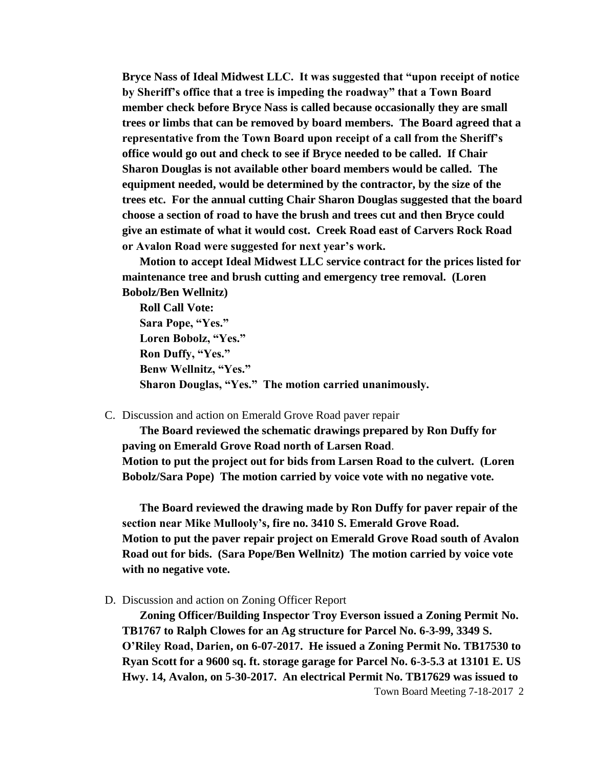**Bryce Nass of Ideal Midwest LLC. It was suggested that "upon receipt of notice by Sheriff's office that a tree is impeding the roadway" that a Town Board member check before Bryce Nass is called because occasionally they are small trees or limbs that can be removed by board members. The Board agreed that a representative from the Town Board upon receipt of a call from the Sheriff's office would go out and check to see if Bryce needed to be called. If Chair Sharon Douglas is not available other board members would be called. The equipment needed, would be determined by the contractor, by the size of the trees etc. For the annual cutting Chair Sharon Douglas suggested that the board choose a section of road to have the brush and trees cut and then Bryce could give an estimate of what it would cost. Creek Road east of Carvers Rock Road or Avalon Road were suggested for next year's work.** 

**Motion to accept Ideal Midwest LLC service contract for the prices listed for maintenance tree and brush cutting and emergency tree removal. (Loren Bobolz/Ben Wellnitz)**

**Roll Call Vote: Sara Pope, "Yes." Loren Bobolz, "Yes." Ron Duffy, "Yes." Benw Wellnitz, "Yes." Sharon Douglas, "Yes." The motion carried unanimously.**

C. Discussion and action on Emerald Grove Road paver repair

**The Board reviewed the schematic drawings prepared by Ron Duffy for paving on Emerald Grove Road north of Larsen Road**. **Motion to put the project out for bids from Larsen Road to the culvert. (Loren Bobolz/Sara Pope) The motion carried by voice vote with no negative vote.**

**The Board reviewed the drawing made by Ron Duffy for paver repair of the section near Mike Mullooly's, fire no. 3410 S. Emerald Grove Road. Motion to put the paver repair project on Emerald Grove Road south of Avalon Road out for bids. (Sara Pope/Ben Wellnitz) The motion carried by voice vote with no negative vote.**

D. Discussion and action on Zoning Officer Report

**Zoning Officer/Building Inspector Troy Everson issued a Zoning Permit No. TB1767 to Ralph Clowes for an Ag structure for Parcel No. 6-3-99, 3349 S. O'Riley Road, Darien, on 6-07-2017. He issued a Zoning Permit No. TB17530 to Ryan Scott for a 9600 sq. ft. storage garage for Parcel No. 6-3-5.3 at 13101 E. US Hwy. 14, Avalon, on 5-30-2017. An electrical Permit No. TB17629 was issued to** 

Town Board Meeting 7-18-2017 2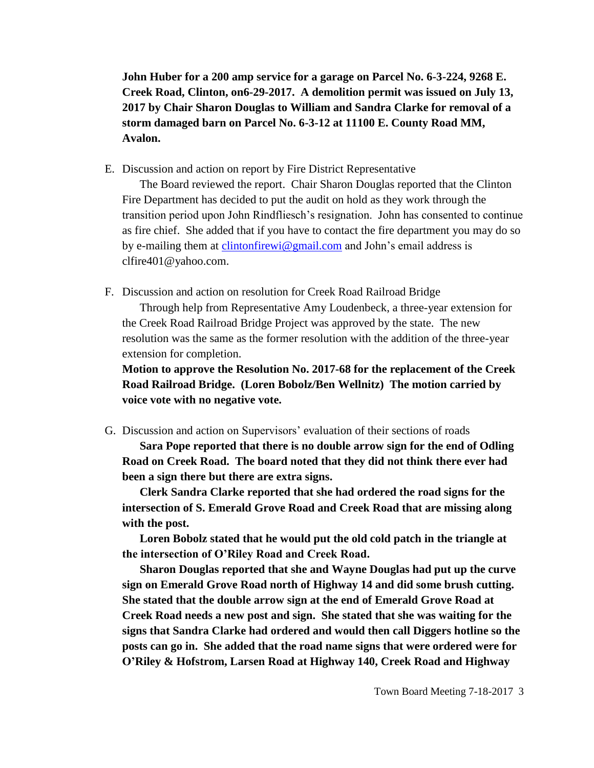**John Huber for a 200 amp service for a garage on Parcel No. 6-3-224, 9268 E. Creek Road, Clinton, on6-29-2017. A demolition permit was issued on July 13, 2017 by Chair Sharon Douglas to William and Sandra Clarke for removal of a storm damaged barn on Parcel No. 6-3-12 at 11100 E. County Road MM, Avalon.**

E. Discussion and action on report by Fire District Representative

The Board reviewed the report. Chair Sharon Douglas reported that the Clinton Fire Department has decided to put the audit on hold as they work through the transition period upon John Rindfliesch's resignation. John has consented to continue as fire chief. She added that if you have to contact the fire department you may do so by e-mailing them at [clintonfirewi@gmail.com](mailto:clintonfirewi@gmail.com) and John's email address is clfire401@yahoo.com.

F. Discussion and action on resolution for Creek Road Railroad Bridge

Through help from Representative Amy Loudenbeck, a three-year extension for the Creek Road Railroad Bridge Project was approved by the state. The new resolution was the same as the former resolution with the addition of the three-year extension for completion.

**Motion to approve the Resolution No. 2017-68 for the replacement of the Creek Road Railroad Bridge. (Loren Bobolz/Ben Wellnitz) The motion carried by voice vote with no negative vote.**

G. Discussion and action on Supervisors' evaluation of their sections of roads

**Sara Pope reported that there is no double arrow sign for the end of Odling Road on Creek Road. The board noted that they did not think there ever had been a sign there but there are extra signs.** 

**Clerk Sandra Clarke reported that she had ordered the road signs for the intersection of S. Emerald Grove Road and Creek Road that are missing along with the post.**

**Loren Bobolz stated that he would put the old cold patch in the triangle at the intersection of O'Riley Road and Creek Road.**

**Sharon Douglas reported that she and Wayne Douglas had put up the curve sign on Emerald Grove Road north of Highway 14 and did some brush cutting. She stated that the double arrow sign at the end of Emerald Grove Road at Creek Road needs a new post and sign. She stated that she was waiting for the signs that Sandra Clarke had ordered and would then call Diggers hotline so the posts can go in. She added that the road name signs that were ordered were for O'Riley & Hofstrom, Larsen Road at Highway 140, Creek Road and Highway**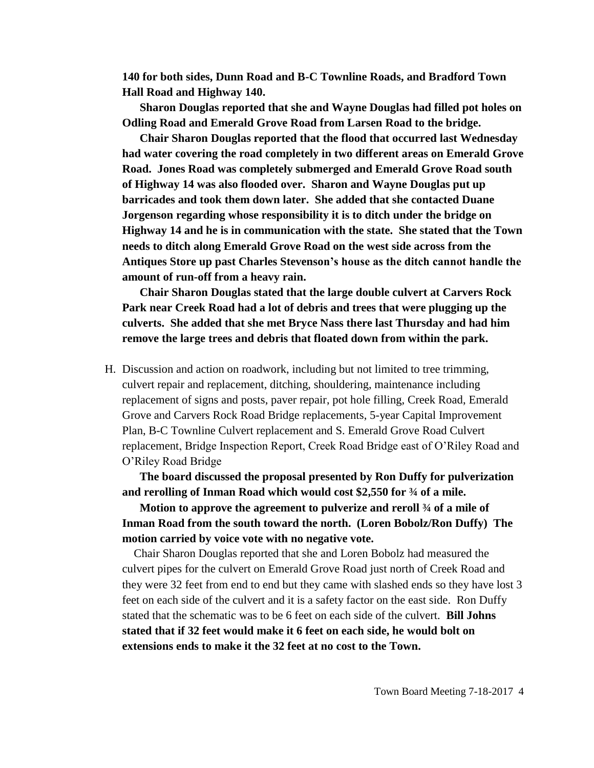**140 for both sides, Dunn Road and B-C Townline Roads, and Bradford Town Hall Road and Highway 140.**

**Sharon Douglas reported that she and Wayne Douglas had filled pot holes on Odling Road and Emerald Grove Road from Larsen Road to the bridge.**

**Chair Sharon Douglas reported that the flood that occurred last Wednesday had water covering the road completely in two different areas on Emerald Grove Road. Jones Road was completely submerged and Emerald Grove Road south of Highway 14 was also flooded over. Sharon and Wayne Douglas put up barricades and took them down later. She added that she contacted Duane Jorgenson regarding whose responsibility it is to ditch under the bridge on Highway 14 and he is in communication with the state. She stated that the Town needs to ditch along Emerald Grove Road on the west side across from the Antiques Store up past Charles Stevenson's house as the ditch cannot handle the amount of run-off from a heavy rain.**

**Chair Sharon Douglas stated that the large double culvert at Carvers Rock Park near Creek Road had a lot of debris and trees that were plugging up the culverts. She added that she met Bryce Nass there last Thursday and had him remove the large trees and debris that floated down from within the park.** 

H. Discussion and action on roadwork, including but not limited to tree trimming, culvert repair and replacement, ditching, shouldering, maintenance including replacement of signs and posts, paver repair, pot hole filling, Creek Road, Emerald Grove and Carvers Rock Road Bridge replacements, 5-year Capital Improvement Plan, B-C Townline Culvert replacement and S. Emerald Grove Road Culvert replacement, Bridge Inspection Report, Creek Road Bridge east of O'Riley Road and O'Riley Road Bridge

**The board discussed the proposal presented by Ron Duffy for pulverization and rerolling of Inman Road which would cost \$2,550 for ¾ of a mile.**

**Motion to approve the agreement to pulverize and reroll ¾ of a mile of Inman Road from the south toward the north. (Loren Bobolz/Ron Duffy) The motion carried by voice vote with no negative vote.**

Chair Sharon Douglas reported that she and Loren Bobolz had measured the culvert pipes for the culvert on Emerald Grove Road just north of Creek Road and they were 32 feet from end to end but they came with slashed ends so they have lost 3 feet on each side of the culvert and it is a safety factor on the east side. Ron Duffy stated that the schematic was to be 6 feet on each side of the culvert. **Bill Johns stated that if 32 feet would make it 6 feet on each side, he would bolt on extensions ends to make it the 32 feet at no cost to the Town.**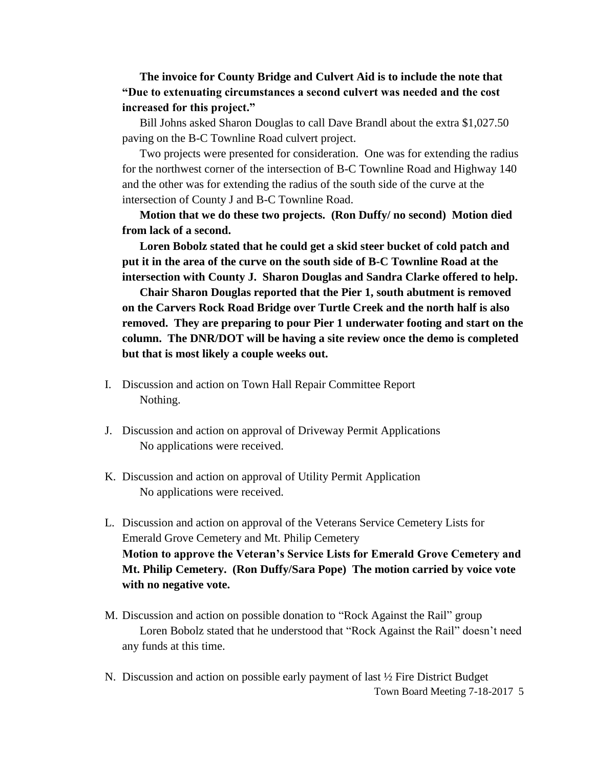## **The invoice for County Bridge and Culvert Aid is to include the note that "Due to extenuating circumstances a second culvert was needed and the cost increased for this project."**

Bill Johns asked Sharon Douglas to call Dave Brandl about the extra \$1,027.50 paving on the B-C Townline Road culvert project.

Two projects were presented for consideration. One was for extending the radius for the northwest corner of the intersection of B-C Townline Road and Highway 140 and the other was for extending the radius of the south side of the curve at the intersection of County J and B-C Townline Road.

**Motion that we do these two projects. (Ron Duffy/ no second) Motion died from lack of a second.**

**Loren Bobolz stated that he could get a skid steer bucket of cold patch and put it in the area of the curve on the south side of B-C Townline Road at the intersection with County J. Sharon Douglas and Sandra Clarke offered to help.**

**Chair Sharon Douglas reported that the Pier 1, south abutment is removed on the Carvers Rock Road Bridge over Turtle Creek and the north half is also removed. They are preparing to pour Pier 1 underwater footing and start on the column. The DNR/DOT will be having a site review once the demo is completed but that is most likely a couple weeks out.**

- I. Discussion and action on Town Hall Repair Committee Report Nothing.
- J. Discussion and action on approval of Driveway Permit Applications No applications were received.
- K. Discussion and action on approval of Utility Permit Application No applications were received.
- L. Discussion and action on approval of the Veterans Service Cemetery Lists for Emerald Grove Cemetery and Mt. Philip Cemetery **Motion to approve the Veteran's Service Lists for Emerald Grove Cemetery and Mt. Philip Cemetery. (Ron Duffy/Sara Pope) The motion carried by voice vote with no negative vote.**
- M. Discussion and action on possible donation to "Rock Against the Rail" group Loren Bobolz stated that he understood that "Rock Against the Rail" doesn't need any funds at this time.
- Town Board Meeting 7-18-2017 5 N. Discussion and action on possible early payment of last ½ Fire District Budget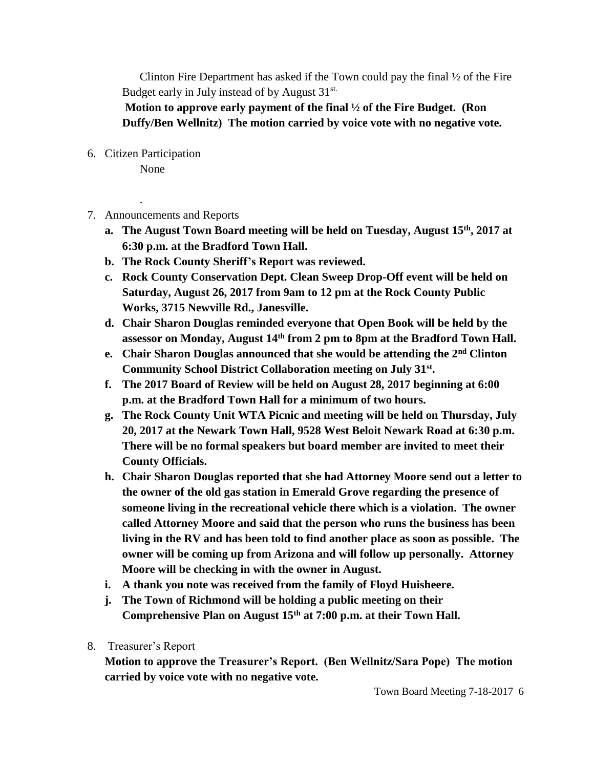Clinton Fire Department has asked if the Town could pay the final  $\frac{1}{2}$  of the Fire Budget early in July instead of by August 31<sup>st.</sup>

**Motion to approve early payment of the final ½ of the Fire Budget. (Ron Duffy/Ben Wellnitz) The motion carried by voice vote with no negative vote.**

6. Citizen Participation

.

None

- 7. Announcements and Reports
	- **a. The August Town Board meeting will be held on Tuesday, August 15th, 2017 at 6:30 p.m. at the Bradford Town Hall.**
	- **b. The Rock County Sheriff's Report was reviewed.**
	- **c. Rock County Conservation Dept. Clean Sweep Drop-Off event will be held on Saturday, August 26, 2017 from 9am to 12 pm at the Rock County Public Works, 3715 Newville Rd., Janesville.**
	- **d. Chair Sharon Douglas reminded everyone that Open Book will be held by the assessor on Monday, August 14th from 2 pm to 8pm at the Bradford Town Hall.**
	- **e. Chair Sharon Douglas announced that she would be attending the 2nd Clinton Community School District Collaboration meeting on July 31st .**
	- **f. The 2017 Board of Review will be held on August 28, 2017 beginning at 6:00 p.m. at the Bradford Town Hall for a minimum of two hours.**
	- **g. The Rock County Unit WTA Picnic and meeting will be held on Thursday, July 20, 2017 at the Newark Town Hall, 9528 West Beloit Newark Road at 6:30 p.m. There will be no formal speakers but board member are invited to meet their County Officials.**
	- **h. Chair Sharon Douglas reported that she had Attorney Moore send out a letter to the owner of the old gas station in Emerald Grove regarding the presence of someone living in the recreational vehicle there which is a violation. The owner called Attorney Moore and said that the person who runs the business has been living in the RV and has been told to find another place as soon as possible. The owner will be coming up from Arizona and will follow up personally. Attorney Moore will be checking in with the owner in August.**
	- **i. A thank you note was received from the family of Floyd Huisheere.**
	- **j. The Town of Richmond will be holding a public meeting on their Comprehensive Plan on August 15th at 7:00 p.m. at their Town Hall.**
- 8. Treasurer's Report

**Motion to approve the Treasurer's Report. (Ben Wellnitz/Sara Pope) The motion carried by voice vote with no negative vote.**